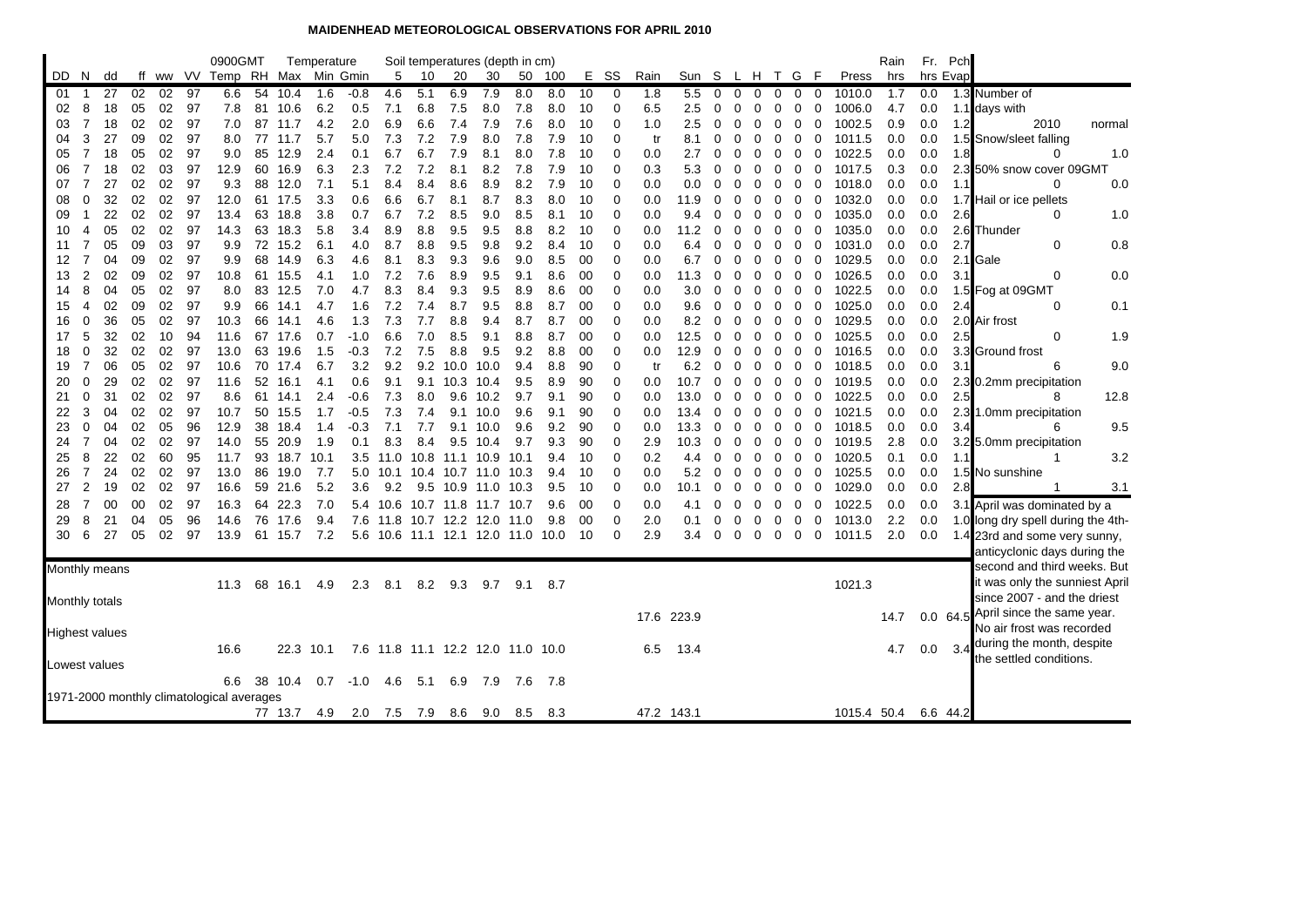## **MAIDENHEAD METEOROLOGICAL OBSERVATIONS FOR APRIL 2010**

|          |                |                |          |          |          | 0900GMT                                   |          |              | Temperature |            |                                   |            |                | Soil temperatures (depth in cm) |            |            |          |                  |            |             |               |               |          |             |                            |                  | Rain       | Fr.        | Pch      |                                     |
|----------|----------------|----------------|----------|----------|----------|-------------------------------------------|----------|--------------|-------------|------------|-----------------------------------|------------|----------------|---------------------------------|------------|------------|----------|------------------|------------|-------------|---------------|---------------|----------|-------------|----------------------------|------------------|------------|------------|----------|-------------------------------------|
| DD.      | N.             | dd             |          |          |          | ff ww VV Temp RH Max                      |          |              | Min Gmin    |            | 5                                 | 10         | 20             | 30                              | 50         | 100        | Е.       | SS               | Rain       | Sun S       |               | L.            |          | H T G       | F                          | Press            | hrs        |            | hrs Evap |                                     |
| 01       | -1             | 27             | 02       | 02       | 97       | 6.6                                       | 54       | 10.4         | 1.6         | $-0.8$     | 4.6                               | 5.1        | 6.9            | 7.9                             | 8.0        | 8.0        | 10       | 0                | 1.8        | 5.5         | 0             | $\Omega$      | 0        | $\mathbf 0$ | 0<br>$\mathbf{0}$          | 1010.0           | 1.7        | 0.0        |          | 1.3 Number of                       |
| 02       | 8              | 18             | 05       | 02       | - 97     | 7.8                                       |          | 81 10.6      | 6.2         | 0.5        | 7.1                               | 6.8        | 7.5            | 8.0                             | 7.8        | 8.0        | 10       | 0                | 6.5        | 2.5         | 0             | 0             | 0        | 0           | 0<br>0                     | 1006.0           | 4.7        | 0.0        |          | 1.1 days with                       |
| 03       | $\overline{7}$ | 18             | 02       | 02       | 97       | 7.0                                       |          | 87 11.7      | 4.2         | 2.0        | 6.9                               | 6.6        | 7.4            | 7.9                             | 7.6        | 8.0        | 10       | 0                | 1.0        | 2.5         | 0             | 0             | 0        | 0           | $\mathbf 0$<br>0           | 1002.5           | 0.9        | 0.0        | 1.2      | 2010<br>normal                      |
| 04       | 3              | 27             | 09       | 02       | 97       | 8.0                                       | 77       | 11.7         | 5.7         | 5.0        | 7.3                               | 7.2        | 7.9            | 8.0                             | 7.8        | 7.9        | 10       | $\mathbf 0$      | tr         | 8.1         | 0             | 0             | 0        | 0           | 0<br>0                     | 1011.5           | 0.0        | 0.0        |          | 1.5 Snow/sleet falling              |
| 05       | $\overline{7}$ | 18             | 05       | 02       | 97       | 9.0                                       |          | 85 12.9      | 2.4         | 0.1        | 6.7                               | 6.7        | 7.9            | 8.1                             | 8.0        | 7.8        | 10       | $\mathbf 0$      | 0.0        | 2.7         | 0             | 0             | 0        | 0           | 0<br>0                     | 1022.5           | 0.0        | 0.0        | 1.8      | 1.0<br>0                            |
| 06       | $\overline{7}$ | 18             | 02       | 03       | 97       | 12.9                                      |          | 60 16.9      | 6.3         | 2.3        | 7.2                               | 7.2        | 8.1            | 8.2                             | 7.8        | 7.9        | 10       | $\Omega$         | 0.3        | 5.3         | 0             |               | 0        | 0           | 0                          | 1017.5<br>0      | 0.3        | 0.0        |          | 2.3 50% snow cover 09GMT            |
| 07       | $\overline{7}$ | 27             | 02       | 02       | 97       | 9.3                                       |          | 88 12.0      | 7.1         | 5.1        | 8.4                               | 8.4        | 8.6            | 8.9                             | 8.2        | 7.9        | 10       | $\mathbf 0$      | 0.0        | 0.0         | $\Omega$      | 0             | $\Omega$ | 0           | 0                          | 0<br>1018.0      | 0.0        | 0.0        | 1.1      | $\Omega$<br>0.0                     |
| 08       | 0              | 32             | 02       | 02       | 97       | 12.0                                      |          | 61 17.5      | 3.3         | 0.6        | 6.6                               | 6.7        | 8.1            | 8.7                             | 8.3        | 8.0        | 10       | $\mathbf 0$      | 0.0        | 11.9        | $\Omega$      | 0             | 0        | 0           | 0<br>0                     | 1032.0           | 0.0        | 0.0        |          | 1.7 Hail or ice pellets             |
| 09       | 1              | 22<br>05       | 02<br>02 | 02<br>02 | 97       | 13.4                                      |          | 63 18.8      | 3.8<br>5.8  | 0.7        | 6.7                               | 7.2        | 8.5            | 9.0                             | 8.5<br>8.8 | 8.1        | 10       | $\mathbf 0$      | 0.0        | 9.4         | $\Omega$      | 0             | 0        | 0           | 0<br>0                     | 1035.0           | 0.0        | 0.0        | 2.6      | 0<br>1.0                            |
| 10<br>11 | 4<br>7         | 05             | 09       | 03       | 97<br>97 | 14.3<br>9.9                               | 63<br>72 | 18.3<br>15.2 | 6.1         | 3.4<br>4.0 | 8.9<br>8.7                        | 8.8<br>8.8 | 9.5<br>9.5     | 9.5<br>9.8                      | 9.2        | 8.2<br>8.4 | 10<br>10 | 0<br>$\mathbf 0$ | 0.0<br>0.0 | 11.2<br>6.4 | $\Omega$<br>0 | 0<br>$\Omega$ | 0<br>0   | 0<br>0      | 0<br>0<br>0<br>0           | 1035.0<br>1031.0 | 0.0<br>0.0 | 0.0<br>0.0 | 2.7      | 2.6 Thunder<br>0<br>0.8             |
| 12       | $\overline{7}$ | 04             | 09       | 02       | 97       | 9.9                                       |          | 68 14.9      | 6.3         | 4.6        | 8.1                               | 8.3        | 9.3            | 9.6                             | 9.0        | 8.5        | 00       | $\mathbf 0$      | 0.0        | 6.7         | 0             | 0             | 0        | 0           | 0<br>0                     | 1029.5           | 0.0        | 0.0        |          | 2.1 Gale                            |
| 13       | $\overline{2}$ | 02             | 09       | 02       | 97       | 10.8                                      |          | 61 15.5      | 4.1         | 1.0        | 7.2                               | 7.6        | 8.9            | 9.5                             | 9.1        | 8.6        | 00       | 0                | 0.0        | 11.3        | 0             | 0             | 0        | 0           | 0<br>0                     | 1026.5           | 0.0        | 0.0        | 3.1      | 0<br>0.0                            |
| 14       | 8              | 04             | 05       | 02       | 97       | 8.0                                       | 83       | 12.5         | 7.0         | 4.7        | 8.3                               | 8.4        | 9.3            | 9.5                             | 8.9        | 8.6        | 00       | 0                | 0.0        | 3.0         | 0             | 0             | 0        | 0           | 0<br>0                     | 1022.5           | 0.0        | 0.0        |          | 1.5 Fog at 09GMT                    |
| 15       | $\overline{4}$ | 02             | 09       | 02       | -97      | 9.9                                       |          | 66 14.1      | 4.7         | 1.6        | 7.2                               | 7.4        | 8.7            | 9.5                             | 8.8        | 8.7        | 00       | $\mathbf 0$      | 0.0        | 9.6         | 0             | 0             | 0        | 0           | 0<br>0                     | 1025.0           | 0.0        | 0.0        | 2.4      | 0.1<br>$\Omega$                     |
| 16       | 0              | 36             | 05       | 02       | 97       | 10.3                                      |          | 66 14.1      | 4.6         | 1.3        | 7.3                               | 7.7        | 8.8            | 9.4                             | 8.7        | 8.7        | 00       | $\mathbf 0$      | 0.0        | 8.2         | 0             | 0             | 0        | 0           | 0<br>0                     | 1029.5           | 0.0        | 0.0        |          | 2.0 Air frost                       |
| 17       | 5              | 32             | 02       | 10       | 94       | 11.6                                      |          | 67 17.6      | 0.7         | $-1.0$     | 6.6                               | 7.0        | 8.5            | 9.1                             | 8.8        | 8.7        | 00       | $\mathbf 0$      | 0.0        | 12.5        | $\Omega$      | 0             | 0        | 0           | 0<br>0                     | 1025.5           | 0.0        | 0.0        | 2.5      | 1.9<br>0                            |
| 18       | 0              | 32             | 02       | 02       | 97       | 13.0                                      | 63       | 19.6         | 1.5         | $-0.3$     | 7.2                               | 7.5        | 8.8            | 9.5                             | 9.2        | 8.8        | 00       | $\mathbf 0$      | 0.0        | 12.9        | $\Omega$      | 0             | 0        | 0           | 0                          | 0<br>1016.5      | 0.0        | 0.0        |          | 3.3 Ground frost                    |
| 19       | 7              | 06             | 05       | 02       | 97       | 10.6                                      |          | 70 17.4      | 6.7         | 3.2        | 9.2                               | 9.2        | 10.0 10.0      |                                 | 9.4        | 8.8        | 90       | $\mathbf 0$      | tr         | 6.2         | $\Omega$      | 0             | 0        | 0           | $\mathbf 0$<br>0           | 1018.5           | 0.0        | 0.0        | 3.1      | 9.0<br>6                            |
| 20       | 0              | 29             | 02       | 02       | 97       | 11.6                                      | 52       | 16.1         | 4.1         | 0.6        | 9.1                               | 9.1        | 10.3 10.4      |                                 | 9.5        | 8.9        | 90       | 0                | 0.0        | 10.7        | $\Omega$      | 0             | 0        | 0           | 0                          | 1019.5<br>0      | 0.0        | 0.0        |          | 2.3 0.2mm precipitation             |
| 21       | 0              | 31             | 02       | 02       | 97       | 8.6                                       |          | 61 14.1      | 2.4         | $-0.6$     | 7.3                               | 8.0        | 9.6            | 10.2                            | 9.7        | 9.1        | 90       | $\mathbf 0$      | 0.0        | 13.0        | 0             | 0             | 0        | 0           | 0<br>0                     | 1022.5           | 0.0        | 0.0        | 2.5      | 8<br>12.8                           |
| 22       | 3              | 04             | 02       | 02       | 97       | 10.7                                      |          | 50 15.5      | 1.7         | $-0.5$     | 7.3                               | 7.4        |                | 9.1 10.0                        | 9.6        | 9.1        | 90       | 0                | 0.0        | 13.4        | 0             | 0             | 0        | 0           | 0<br>0                     | 1021.5           | 0.0        | 0.0        |          | 2.3 1.0mm precipitation             |
| 23       | 0              | 04             | 02       | 05       | 96       | 12.9                                      |          | 38 18.4      | 1.4         | $-0.3$     | 7.1                               | 7.7        |                | 9.1 10.0                        | 9.6        | 9.2        | 90       | 0                | 0.0        | 13.3        | 0             | 0             | 0        | 0           | 0                          | 0<br>1018.5      | 0.0        | 0.0        | 3.4      | 9.5<br>6                            |
| 24       | $\overline{7}$ | 04             | 02       | 02       | 97       | 14.0                                      |          | 55 20.9      | 1.9         | 0.1        | 8.3                               | 8.4        | 9.5            | 10.4                            | 9.7        | 9.3        | 90       | $\Omega$         | 2.9        | 10.3        | $\Omega$      | 0             | $\Omega$ | 0           | 0                          | 1019.5<br>0      | 2.8        | 0.0        |          | 3.2 5.0mm precipitation             |
| 25       | 8              | 22             | 02       | 60       | 95       | 11.7                                      |          | 93 18.7      | 10.1        |            | $3.5$ 11.0                        |            | 10.8 11.1 10.9 |                                 | 10.1       | 9.4        | 10       | $\mathbf 0$      | 0.2        | 4.4         | 0             | 0             | 0        | 0           | 0<br>0                     | 1020.5           | 0.1        | 0.0        | 1.1      | 3.2<br>-1                           |
| 26       | $\overline{7}$ | 24             | 02       | 02       | 97       | 13.0                                      |          | 86 19.0      | 7.7         |            | 5.0 10.1 10.4 10.7 11.0 10.3      |            |                |                                 |            | 9.4        | 10       | $\mathbf 0$      | 0.0        | 5.2         | 0             | 0             | 0        | 0           | $\mathbf 0$<br>$\mathbf 0$ | 1025.5           | 0.0        | 0.0        |          | 1.5 No sunshine                     |
| 27       | $\overline{2}$ | 19             | 02       | 02       | 97       | 16.6                                      |          | 59 21.6      | 5.2         | 3.6        | 9.2                               | 9.5        | 10.9 11.0      |                                 | 10.3       | 9.5        | 10       | $\mathbf 0$      | 0.0        | 10.1        | 0             | 0             | 0        | 0           | $\mathbf 0$<br>0           | 1029.0           | 0.0        | 0.0        | 2.8      | 3.1                                 |
| 28       | 7              | 00             | 00       | 02       | 97       | 16.3                                      | 64       | 22.3         | 7.0         |            | 5.4 10.6                          |            | 10.7 11.8      | 11.7                            | 10.7       | 9.6        | 00       | 0                | 0.0        | 4.1         | $\Omega$      | 0             | 0        | 0           | $\mathbf 0$<br>0           | 1022.5           | 0.0        | 0.0        |          | 3.1 April was dominated by a        |
| 29       | 8              | 21             | 04       | 05       | 96       | 14.6                                      | 76       | 17.6         | 9.4         | 7.6        | 11.8                              |            | 10.7 12.2 12.0 |                                 | 11.0       | 9.8        | 00       | $\mathbf 0$      | 2.0        | 0.1         | 0             | 0             | 0        | 0           | $\mathbf 0$                | 0<br>1013.0      | 2.2        | 0.0        |          | 1.0 long dry spell during the 4th-  |
| 30       | 6              | 27             | 05       | 02       | 97       | 13.9                                      |          | 61 15.7      | 7.2         |            | 5.6 10.6 11.1 12.1 12.0 11.0 10.0 |            |                |                                 |            |            | 10       | $\Omega$         | 2.9        | 3.4         | 0             | 0             | 0        | 0           | 0<br>0                     | 1011.5           | 2.0        | 0.0        |          | 1.4 23rd and some very sunny,       |
|          |                |                |          |          |          |                                           |          |              |             |            |                                   |            |                |                                 |            |            |          |                  |            |             |               |               |          |             |                            |                  |            |            |          | anticyclonic days during the        |
|          |                | Monthly means  |          |          |          |                                           |          |              |             |            |                                   |            |                |                                 |            |            |          |                  |            |             |               |               |          |             |                            |                  |            |            |          | second and third weeks. But         |
|          |                |                |          |          |          | 11.3                                      | 68       | 16.1         | 4.9         | 2.3        | 8.1                               | 8.2        | 9.3            | 9.7                             | 9.1        | 8.7        |          |                  |            |             |               |               |          |             |                            | 1021.3           |            |            |          | it was only the sunniest April      |
|          |                | Monthly totals |          |          |          |                                           |          |              |             |            |                                   |            |                |                                 |            |            |          |                  |            |             |               |               |          |             |                            |                  |            |            |          | since 2007 - and the driest         |
|          |                |                |          |          |          |                                           |          |              |             |            |                                   |            |                |                                 |            |            |          |                  |            | 17.6 223.9  |               |               |          |             |                            |                  | 14.7       |            |          | 0.0 64.5 April since the same year. |
|          |                | Highest values |          |          |          |                                           |          |              |             |            |                                   |            |                |                                 |            |            |          |                  |            |             |               |               |          |             |                            |                  |            |            |          | No air frost was recorded           |
|          |                |                |          |          |          | 16.6                                      |          | 22.3         | 10.1        |            | 7.6 11.8 11.1 12.2 12.0 11.0 10.0 |            |                |                                 |            |            |          |                  | 6.5        | 13.4        |               |               |          |             |                            |                  | 4.7        | 0.0        | -3.4     | during the month, despite           |
|          |                | Lowest values  |          |          |          |                                           |          |              |             |            |                                   |            |                |                                 |            |            |          |                  |            |             |               |               |          |             |                            |                  |            |            |          | the settled conditions.             |
|          |                |                |          |          |          | 6.6                                       |          | 38 10.4      | 0.7         | $-1.0$     | 4.6                               | 5.1        | 6.9            | 7.9                             | 7.6        | 7.8        |          |                  |            |             |               |               |          |             |                            |                  |            |            |          |                                     |
|          |                |                |          |          |          | 1971-2000 monthly climatological averages |          |              |             |            |                                   |            |                |                                 |            |            |          |                  |            |             |               |               |          |             |                            |                  |            |            |          |                                     |
|          |                |                |          |          |          |                                           |          | 77 13.7      | 4.9         | 2.0        | 7.5                               | 7.9        | 8.6            | 9.0                             | 8.5        | 8.3        |          |                  |            | 47.2 143.1  |               |               |          |             |                            | 1015.4 50.4      |            |            | 6.6 44.2 |                                     |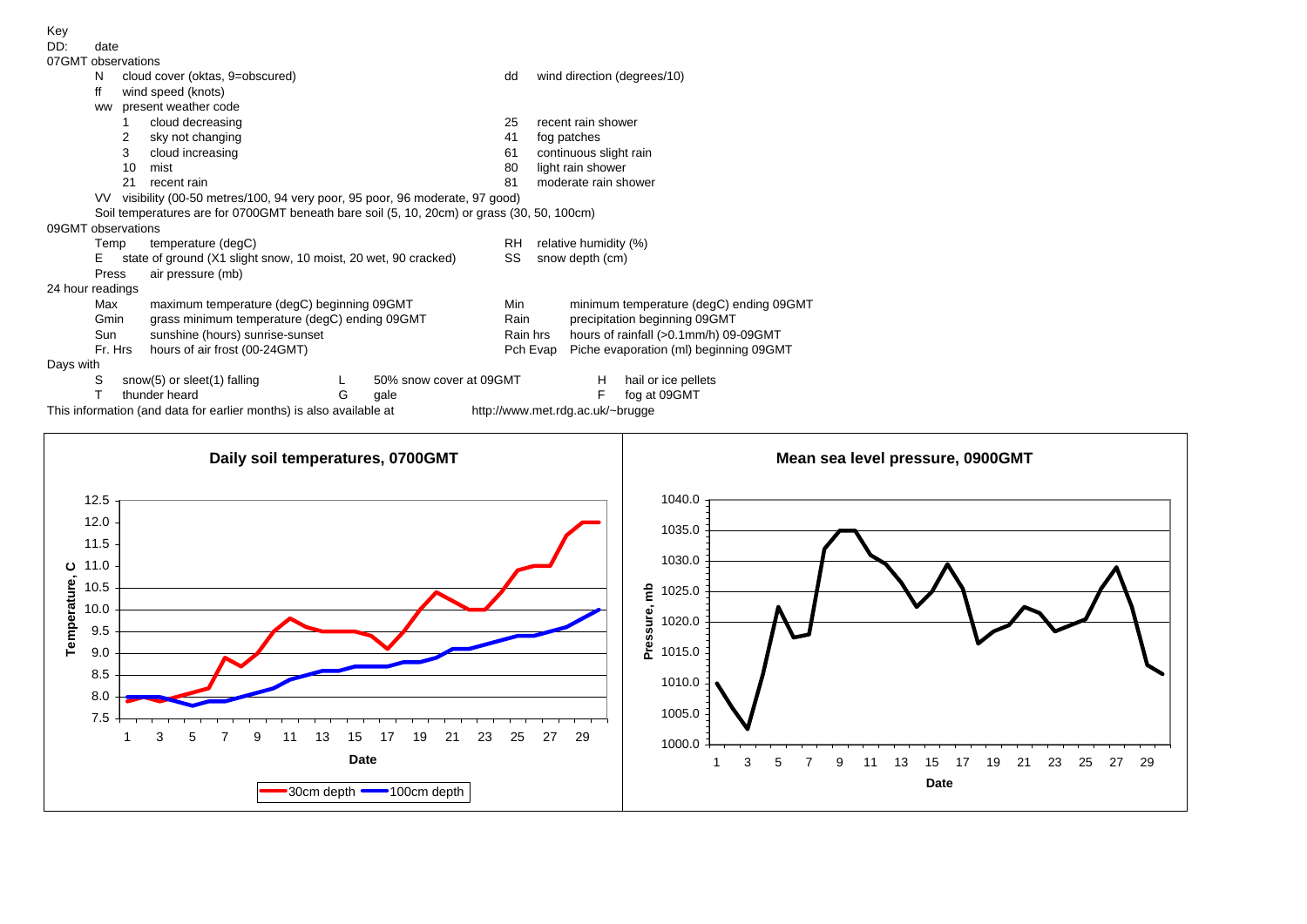

date

|  | 07GMT observations |
|--|--------------------|

|                    | N       |    | cloud cover (oktas, 9=obscured)                                                            |                       |                         | dd  |                                                    | wind direction (degrees/10)             |  |  |  |  |
|--------------------|---------|----|--------------------------------------------------------------------------------------------|-----------------------|-------------------------|-----|----------------------------------------------------|-----------------------------------------|--|--|--|--|
|                    | ff      |    | wind speed (knots)                                                                         |                       |                         |     |                                                    |                                         |  |  |  |  |
|                    | ww      |    | present weather code                                                                       |                       |                         |     |                                                    |                                         |  |  |  |  |
|                    |         |    | cloud decreasing                                                                           |                       |                         | 25  |                                                    | recent rain shower                      |  |  |  |  |
|                    |         | 2  | sky not changing                                                                           |                       |                         | 41  |                                                    | fog patches                             |  |  |  |  |
|                    |         | 3  | cloud increasing                                                                           |                       |                         | 61  |                                                    | continuous slight rain                  |  |  |  |  |
|                    |         | 10 | mist                                                                                       |                       |                         | 80  |                                                    | light rain shower                       |  |  |  |  |
|                    |         | 21 | recent rain                                                                                |                       |                         | 81  |                                                    | moderate rain shower                    |  |  |  |  |
|                    | VV.     |    | visibility (00-50 metres/100, 94 very poor, 95 poor, 96 moderate, 97 good)                 |                       |                         |     |                                                    |                                         |  |  |  |  |
|                    |         |    | Soil temperatures are for 0700GMT beneath bare soil (5, 10, 20cm) or grass (30, 50, 100cm) |                       |                         |     |                                                    |                                         |  |  |  |  |
| 09GMT observations |         |    |                                                                                            |                       |                         |     |                                                    |                                         |  |  |  |  |
|                    | Temp    |    | temperature (degC)                                                                         | relative humidity (%) |                         |     |                                                    |                                         |  |  |  |  |
|                    | Е       |    | state of ground (X1 slight snow, 10 moist, 20 wet, 90 cracked)                             |                       |                         | SS  |                                                    | snow depth (cm)                         |  |  |  |  |
|                    | Press   |    | air pressure (mb)                                                                          |                       |                         |     |                                                    |                                         |  |  |  |  |
| 24 hour readings   |         |    |                                                                                            |                       |                         |     |                                                    |                                         |  |  |  |  |
|                    | Max     |    | maximum temperature (degC) beginning 09GMT                                                 |                       |                         | Min |                                                    | minimum temperature (degC) ending 09GMT |  |  |  |  |
|                    | Gmin    |    | grass minimum temperature (degC) ending 09GMT                                              |                       | Rain                    |     | precipitation beginning 09GMT                      |                                         |  |  |  |  |
|                    | Sun     |    | sunshine (hours) sunrise-sunset                                                            |                       | Rain hrs                |     | hours of rainfall (>0.1mm/h) 09-09GMT              |                                         |  |  |  |  |
|                    | Fr. Hrs |    | hours of air frost (00-24GMT)                                                              |                       |                         |     | Piche evaporation (ml) beginning 09GMT<br>Pch Evap |                                         |  |  |  |  |
| Days with          |         |    |                                                                                            |                       |                         |     |                                                    |                                         |  |  |  |  |
|                    | S       |    | snow(5) or sleet(1) falling                                                                |                       | 50% snow cover at 09GMT |     |                                                    | hail or ice pellets<br>H.               |  |  |  |  |
|                    |         |    | thunder heard                                                                              | G                     | gale                    |     |                                                    | F<br>fog at 09GMT                       |  |  |  |  |
|                    |         |    |                                                                                            |                       |                         |     |                                                    |                                         |  |  |  |  |

This information (and data for earlier months) is also available at http://www.met.rdg.ac.uk/~brugge